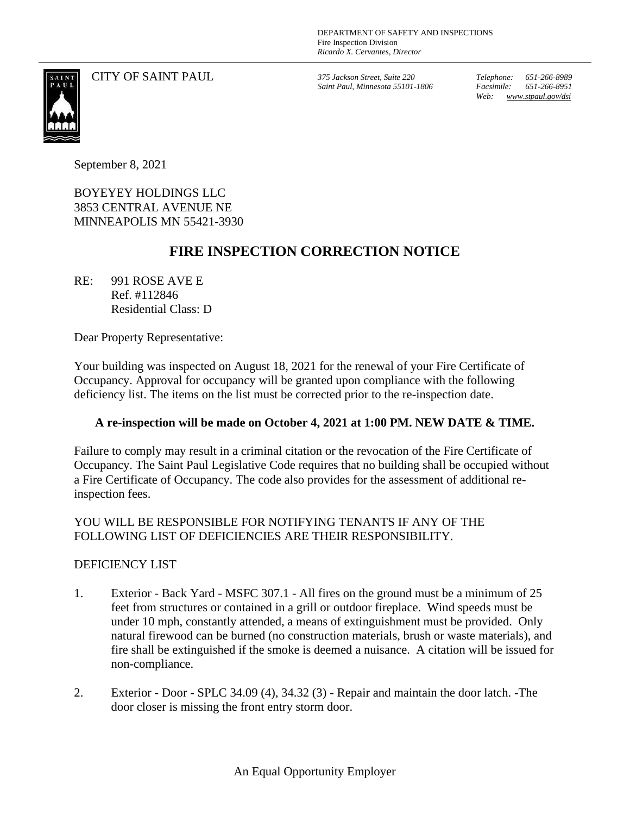CITY OF SAINT PAUL *375 Jackson Street, Suite 220*

*Saint Paul, Minnesota 55101-1806*

*Telephone: 651-266-8989 Facsimile: 651-266-8951 Web: www.stpaul.gov/dsi*

September 8, 2021

BOYEYEY HOLDINGS LLC 3853 CENTRAL AVENUE NE MINNEAPOLIS MN 55421-3930

## **FIRE INSPECTION CORRECTION NOTICE**

RE: 991 ROSE AVE E Ref. #112846 Residential Class: D

Dear Property Representative:

Your building was inspected on August 18, 2021 for the renewal of your Fire Certificate of Occupancy. Approval for occupancy will be granted upon compliance with the following deficiency list. The items on the list must be corrected prior to the re-inspection date.

## **A re-inspection will be made on October 4, 2021 at 1:00 PM. NEW DATE & TIME.**

Failure to comply may result in a criminal citation or the revocation of the Fire Certificate of Occupancy. The Saint Paul Legislative Code requires that no building shall be occupied without a Fire Certificate of Occupancy. The code also provides for the assessment of additional reinspection fees.

## YOU WILL BE RESPONSIBLE FOR NOTIFYING TENANTS IF ANY OF THE FOLLOWING LIST OF DEFICIENCIES ARE THEIR RESPONSIBILITY.

## DEFICIENCY LIST

- 1. Exterior Back Yard MSFC 307.1 All fires on the ground must be a minimum of 25 feet from structures or contained in a grill or outdoor fireplace. Wind speeds must be under 10 mph, constantly attended, a means of extinguishment must be provided. Only natural firewood can be burned (no construction materials, brush or waste materials), and fire shall be extinguished if the smoke is deemed a nuisance. A citation will be issued for non-compliance.
- 2. Exterior Door SPLC 34.09 (4), 34.32 (3) Repair and maintain the door latch. -The door closer is missing the front entry storm door.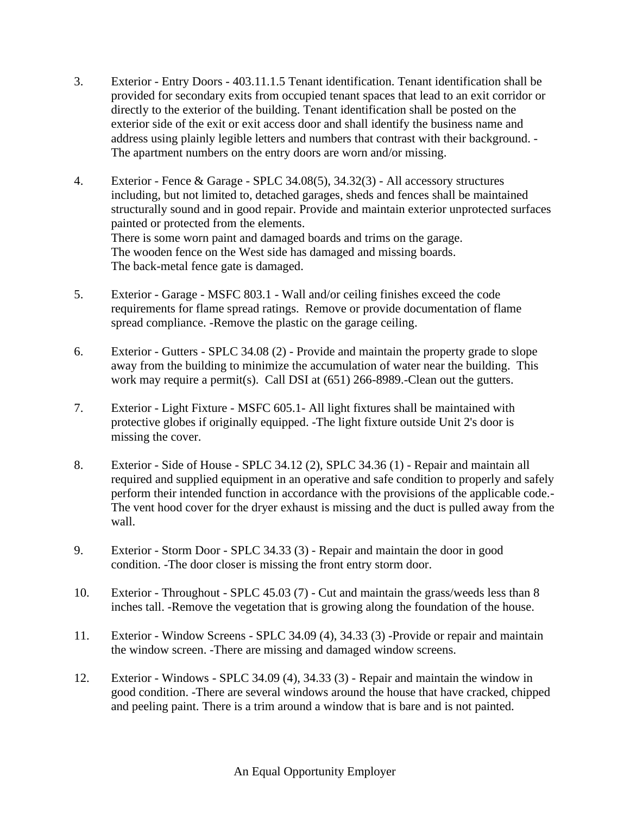- 3. Exterior Entry Doors 403.11.1.5 Tenant identification. Tenant identification shall be provided for secondary exits from occupied tenant spaces that lead to an exit corridor or directly to the exterior of the building. Tenant identification shall be posted on the exterior side of the exit or exit access door and shall identify the business name and address using plainly legible letters and numbers that contrast with their background. - The apartment numbers on the entry doors are worn and/or missing.
- 4. Exterior Fence & Garage SPLC 34.08(5), 34.32(3) All accessory structures including, but not limited to, detached garages, sheds and fences shall be maintained structurally sound and in good repair. Provide and maintain exterior unprotected surfaces painted or protected from the elements. There is some worn paint and damaged boards and trims on the garage. The wooden fence on the West side has damaged and missing boards. The back-metal fence gate is damaged.
- 5. Exterior Garage MSFC 803.1 Wall and/or ceiling finishes exceed the code requirements for flame spread ratings. Remove or provide documentation of flame spread compliance. -Remove the plastic on the garage ceiling.
- 6. Exterior Gutters SPLC 34.08 (2) Provide and maintain the property grade to slope away from the building to minimize the accumulation of water near the building. This work may require a permit(s). Call DSI at (651) 266-8989.-Clean out the gutters.
- 7. Exterior Light Fixture MSFC 605.1- All light fixtures shall be maintained with protective globes if originally equipped. -The light fixture outside Unit 2's door is missing the cover.
- 8. Exterior Side of House SPLC 34.12 (2), SPLC 34.36 (1) Repair and maintain all required and supplied equipment in an operative and safe condition to properly and safely perform their intended function in accordance with the provisions of the applicable code.- The vent hood cover for the dryer exhaust is missing and the duct is pulled away from the wall.
- 9. Exterior Storm Door SPLC 34.33 (3) Repair and maintain the door in good condition. -The door closer is missing the front entry storm door.
- 10. Exterior Throughout SPLC 45.03 (7) Cut and maintain the grass/weeds less than 8 inches tall. -Remove the vegetation that is growing along the foundation of the house.
- 11. Exterior Window Screens SPLC 34.09 (4), 34.33 (3) -Provide or repair and maintain the window screen. -There are missing and damaged window screens.
- 12. Exterior Windows SPLC 34.09 (4), 34.33 (3) Repair and maintain the window in good condition. -There are several windows around the house that have cracked, chipped and peeling paint. There is a trim around a window that is bare and is not painted.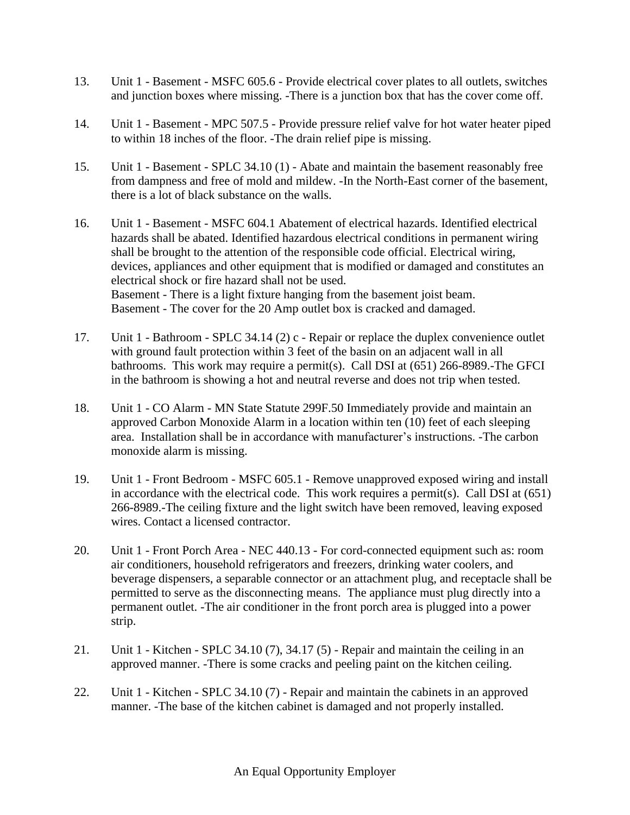- 13. Unit 1 Basement MSFC 605.6 Provide electrical cover plates to all outlets, switches and junction boxes where missing. -There is a junction box that has the cover come off.
- 14. Unit 1 Basement MPC 507.5 Provide pressure relief valve for hot water heater piped to within 18 inches of the floor. -The drain relief pipe is missing.
- 15. Unit 1 Basement SPLC 34.10 (1) Abate and maintain the basement reasonably free from dampness and free of mold and mildew. -In the North-East corner of the basement, there is a lot of black substance on the walls.
- 16. Unit 1 Basement MSFC 604.1 Abatement of electrical hazards. Identified electrical hazards shall be abated. Identified hazardous electrical conditions in permanent wiring shall be brought to the attention of the responsible code official. Electrical wiring, devices, appliances and other equipment that is modified or damaged and constitutes an electrical shock or fire hazard shall not be used. Basement - There is a light fixture hanging from the basement joist beam. Basement - The cover for the 20 Amp outlet box is cracked and damaged.
- 17. Unit 1 Bathroom SPLC 34.14 (2) c Repair or replace the duplex convenience outlet with ground fault protection within 3 feet of the basin on an adjacent wall in all bathrooms. This work may require a permit(s). Call DSI at (651) 266-8989.-The GFCI in the bathroom is showing a hot and neutral reverse and does not trip when tested.
- 18. Unit 1 CO Alarm MN State Statute 299F.50 Immediately provide and maintain an approved Carbon Monoxide Alarm in a location within ten (10) feet of each sleeping area. Installation shall be in accordance with manufacturer's instructions. -The carbon monoxide alarm is missing.
- 19. Unit 1 Front Bedroom MSFC 605.1 Remove unapproved exposed wiring and install in accordance with the electrical code. This work requires a permit(s). Call DSI at (651) 266-8989.-The ceiling fixture and the light switch have been removed, leaving exposed wires. Contact a licensed contractor.
- 20. Unit 1 Front Porch Area NEC 440.13 For cord-connected equipment such as: room air conditioners, household refrigerators and freezers, drinking water coolers, and beverage dispensers, a separable connector or an attachment plug, and receptacle shall be permitted to serve as the disconnecting means. The appliance must plug directly into a permanent outlet. -The air conditioner in the front porch area is plugged into a power strip.
- 21. Unit 1 Kitchen SPLC 34.10 (7), 34.17 (5) Repair and maintain the ceiling in an approved manner. -There is some cracks and peeling paint on the kitchen ceiling.
- 22. Unit 1 Kitchen SPLC 34.10 (7) Repair and maintain the cabinets in an approved manner. -The base of the kitchen cabinet is damaged and not properly installed.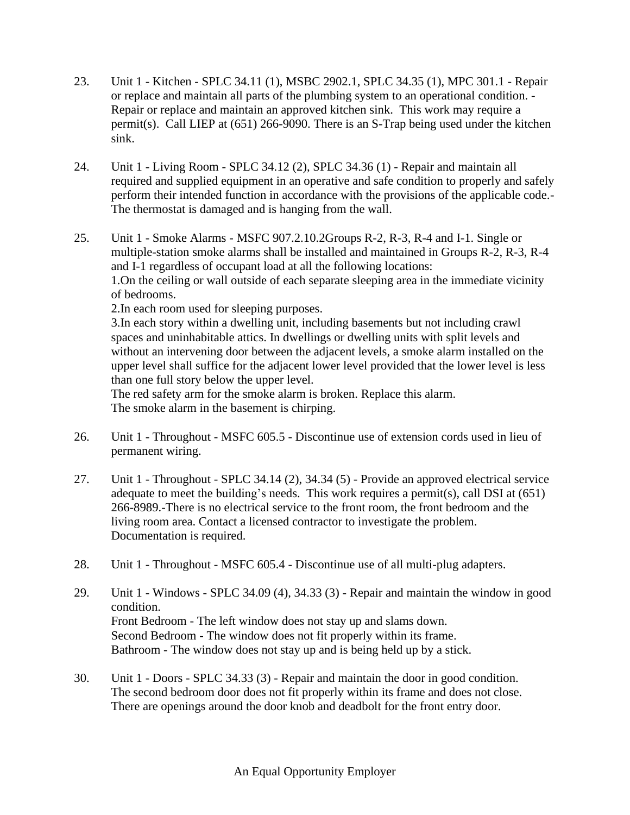- 23. Unit 1 Kitchen SPLC 34.11 (1), MSBC 2902.1, SPLC 34.35 (1), MPC 301.1 Repair or replace and maintain all parts of the plumbing system to an operational condition. - Repair or replace and maintain an approved kitchen sink. This work may require a permit(s). Call LIEP at (651) 266-9090. There is an S-Trap being used under the kitchen sink.
- 24. Unit 1 Living Room SPLC 34.12 (2), SPLC 34.36 (1) Repair and maintain all required and supplied equipment in an operative and safe condition to properly and safely perform their intended function in accordance with the provisions of the applicable code.- The thermostat is damaged and is hanging from the wall.
- 25. Unit 1 Smoke Alarms MSFC 907.2.10.2Groups R-2, R-3, R-4 and I-1. Single or multiple-station smoke alarms shall be installed and maintained in Groups R-2, R-3, R-4 and I-1 regardless of occupant load at all the following locations: 1.On the ceiling or wall outside of each separate sleeping area in the immediate vicinity of bedrooms. 2.In each room used for sleeping purposes.

3.In each story within a dwelling unit, including basements but not including crawl spaces and uninhabitable attics. In dwellings or dwelling units with split levels and without an intervening door between the adjacent levels, a smoke alarm installed on the upper level shall suffice for the adjacent lower level provided that the lower level is less than one full story below the upper level.

The red safety arm for the smoke alarm is broken. Replace this alarm. The smoke alarm in the basement is chirping.

- 26. Unit 1 Throughout MSFC 605.5 Discontinue use of extension cords used in lieu of permanent wiring.
- 27. Unit 1 Throughout SPLC 34.14 (2), 34.34 (5) Provide an approved electrical service adequate to meet the building's needs. This work requires a permit(s), call DSI at (651) 266-8989.-There is no electrical service to the front room, the front bedroom and the living room area. Contact a licensed contractor to investigate the problem. Documentation is required.
- 28. Unit 1 Throughout MSFC 605.4 Discontinue use of all multi-plug adapters.
- 29. Unit 1 Windows SPLC 34.09 (4), 34.33 (3) Repair and maintain the window in good condition. Front Bedroom - The left window does not stay up and slams down. Second Bedroom - The window does not fit properly within its frame. Bathroom - The window does not stay up and is being held up by a stick.
- 30. Unit 1 Doors SPLC 34.33 (3) Repair and maintain the door in good condition. The second bedroom door does not fit properly within its frame and does not close. There are openings around the door knob and deadbolt for the front entry door.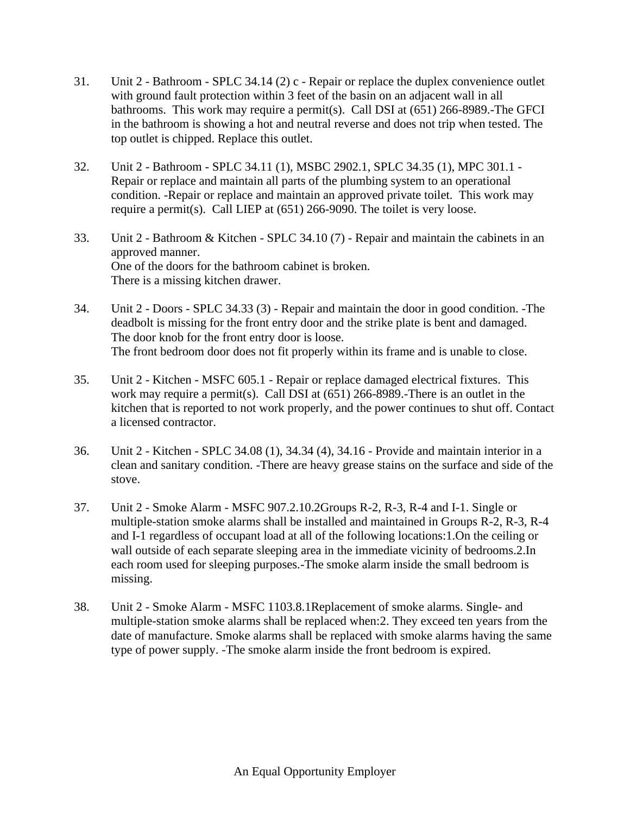- 31. Unit 2 Bathroom SPLC 34.14 (2) c Repair or replace the duplex convenience outlet with ground fault protection within 3 feet of the basin on an adjacent wall in all bathrooms. This work may require a permit(s). Call DSI at (651) 266-8989.-The GFCI in the bathroom is showing a hot and neutral reverse and does not trip when tested. The top outlet is chipped. Replace this outlet.
- 32. Unit 2 Bathroom SPLC 34.11 (1), MSBC 2902.1, SPLC 34.35 (1), MPC 301.1 Repair or replace and maintain all parts of the plumbing system to an operational condition. -Repair or replace and maintain an approved private toilet. This work may require a permit(s). Call LIEP at (651) 266-9090. The toilet is very loose.
- 33. Unit 2 Bathroom & Kitchen SPLC 34.10 (7) Repair and maintain the cabinets in an approved manner. One of the doors for the bathroom cabinet is broken. There is a missing kitchen drawer.
- 34. Unit 2 Doors SPLC 34.33 (3) Repair and maintain the door in good condition. -The deadbolt is missing for the front entry door and the strike plate is bent and damaged. The door knob for the front entry door is loose. The front bedroom door does not fit properly within its frame and is unable to close.
- 35. Unit 2 Kitchen MSFC 605.1 Repair or replace damaged electrical fixtures. This work may require a permit(s). Call DSI at (651) 266-8989.-There is an outlet in the kitchen that is reported to not work properly, and the power continues to shut off. Contact a licensed contractor.
- 36. Unit 2 Kitchen SPLC 34.08 (1), 34.34 (4), 34.16 Provide and maintain interior in a clean and sanitary condition. -There are heavy grease stains on the surface and side of the stove.
- 37. Unit 2 Smoke Alarm MSFC 907.2.10.2Groups R-2, R-3, R-4 and I-1. Single or multiple-station smoke alarms shall be installed and maintained in Groups R-2, R-3, R-4 and I-1 regardless of occupant load at all of the following locations:1.On the ceiling or wall outside of each separate sleeping area in the immediate vicinity of bedrooms.2.In each room used for sleeping purposes.-The smoke alarm inside the small bedroom is missing.
- 38. Unit 2 Smoke Alarm MSFC 1103.8.1Replacement of smoke alarms. Single- and multiple-station smoke alarms shall be replaced when:2. They exceed ten years from the date of manufacture. Smoke alarms shall be replaced with smoke alarms having the same type of power supply. -The smoke alarm inside the front bedroom is expired.